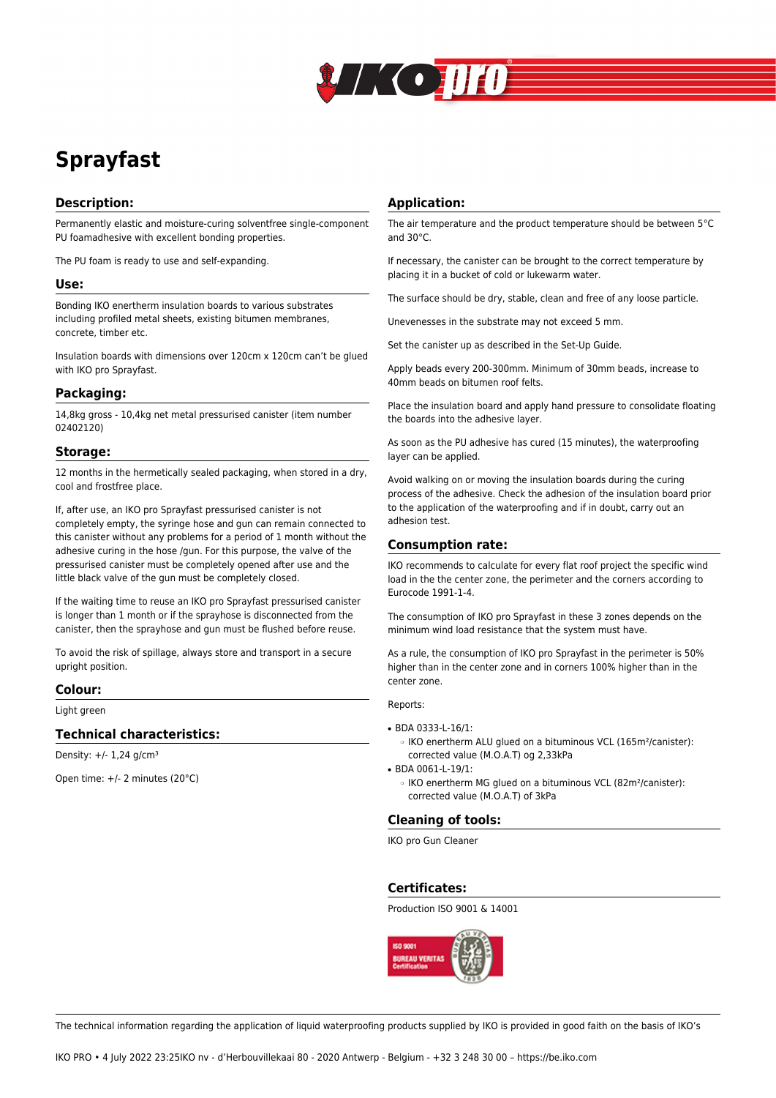

# **Sprayfast**

## **Description:**

Permanently elastic and moisture-curing solventfree single-component PU foamadhesive with excellent bonding properties.

The PU foam is ready to use and self-expanding.

#### **Use:**

Bonding IKO enertherm insulation boards to various substrates including profiled metal sheets, existing bitumen membranes, concrete, timber etc.

Insulation boards with dimensions over 120cm x 120cm can't be glued with IKO pro Sprayfast.

## **Packaging:**

14,8kg gross - 10,4kg net metal pressurised canister (item number 02402120)

#### **Storage:**

12 months in the hermetically sealed packaging, when stored in a dry, cool and frostfree place.

If, after use, an IKO pro Sprayfast pressurised canister is not completely empty, the syringe hose and gun can remain connected to this canister without any problems for a period of 1 month without the adhesive curing in the hose /gun. For this purpose, the valve of the pressurised canister must be completely opened after use and the little black valve of the gun must be completely closed.

If the waiting time to reuse an IKO pro Sprayfast pressurised canister is longer than 1 month or if the sprayhose is disconnected from the canister, then the sprayhose and gun must be flushed before reuse.

To avoid the risk of spillage, always store and transport in a secure upright position.

#### **Colour:**

Light green

#### **Technical characteristics:**

Density:  $+/- 1.24$  g/cm<sup>3</sup>

Open time: +/- 2 minutes (20°C)

### **Application:**

The air temperature and the product temperature should be between 5°C and 30°C.

If necessary, the canister can be brought to the correct temperature by placing it in a bucket of cold or lukewarm water.

The surface should be dry, stable, clean and free of any loose particle.

Unevenesses in the substrate may not exceed 5 mm.

Set the canister up as described in the Set-Up Guide.

Apply beads every 200-300mm. Minimum of 30mm beads, increase to 40mm beads on bitumen roof felts.

Place the insulation board and apply hand pressure to consolidate floating the boards into the adhesive layer.

As soon as the PU adhesive has cured (15 minutes), the waterproofing layer can be applied.

Avoid walking on or moving the insulation boards during the curing process of the adhesive. Check the adhesion of the insulation board prior to the application of the waterproofing and if in doubt, carry out an adhesion test.

#### **Consumption rate:**

IKO recommends to calculate for every flat roof project the specific wind load in the the center zone, the perimeter and the corners according to Eurocode 1991-1-4.

The consumption of IKO pro Sprayfast in these 3 zones depends on the minimum wind load resistance that the system must have.

As a rule, the consumption of IKO pro Sprayfast in the perimeter is 50% higher than in the center zone and in corners 100% higher than in the center zone.

Reports:

- BDA 0333-L-16/1:
	- ❍ IKO enertherm ALU glued on a bituminous VCL (165m²/canister): corrected value (M.O.A.T) og 2,33kPa
- BDA 0061-L-19/1:
	- ❍ IKO enertherm MG glued on a bituminous VCL (82m²/canister): corrected value (M.O.A.T) of 3kPa

## **Cleaning of tools:**

IKO pro Gun Cleaner

**Certificates:**

Production ISO 9001 & 14001



The technical information regarding the application of liquid waterproofing products supplied by IKO is provided in good faith on the basis of IKO's